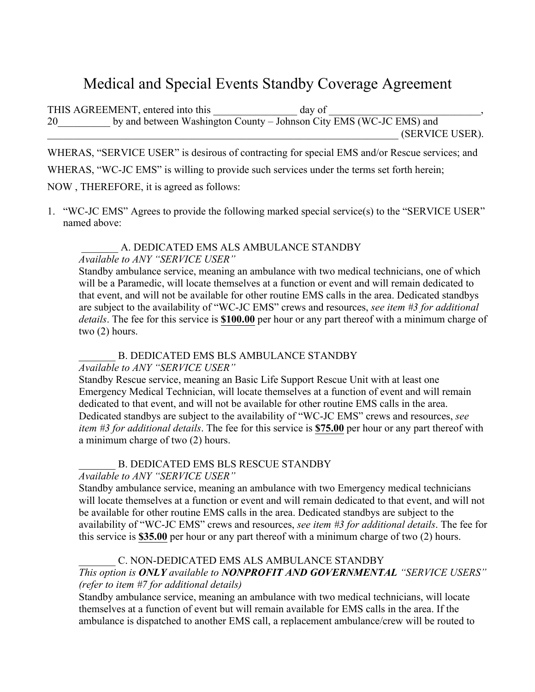# Medical and Special Events Standby Coverage Agreement

THIS AGREEMENT, entered into this day of 20 by and between Washington County – Johnson City EMS (WC-JC EMS) and \_\_\_\_\_\_\_\_\_\_\_\_\_\_\_\_\_\_\_\_\_\_\_\_\_\_\_\_\_\_\_\_\_\_\_\_\_\_\_\_\_\_\_\_\_\_\_\_\_\_\_\_\_\_\_\_\_\_\_\_\_\_\_\_\_\_\_ (SERVICE USER).

WHERAS, "SERVICE USER" is desirous of contracting for special EMS and/or Rescue services; and WHERAS, "WC-JC EMS" is willing to provide such services under the terms set forth herein; NOW , THEREFORE, it is agreed as follows:

1. "WC-JC EMS" Agrees to provide the following marked special service(s) to the "SERVICE USER" named above:

### A. DEDICATED EMS ALS AMBULANCE STANDBY

### *Available to ANY "SERVICE USER"*

Standby ambulance service, meaning an ambulance with two medical technicians, one of which will be a Paramedic, will locate themselves at a function or event and will remain dedicated to that event, and will not be available for other routine EMS calls in the area. Dedicated standbys are subject to the availability of "WC-JC EMS" crews and resources, *see item #3 for additional details*. The fee for this service is **\$100.00** per hour or any part thereof with a minimum charge of two (2) hours.

B. DEDICATED EMS BLS AMBULANCE STANDBY

### *Available to ANY "SERVICE USER"*

Standby Rescue service, meaning an Basic Life Support Rescue Unit with at least one Emergency Medical Technician, will locate themselves at a function of event and will remain dedicated to that event, and will not be available for other routine EMS calls in the area. Dedicated standbys are subject to the availability of "WC-JC EMS" crews and resources, *see item #3 for additional details*. The fee for this service is **\$75.00** per hour or any part thereof with a minimum charge of two (2) hours.

## B. DEDICATED EMS BLS RESCUE STANDBY

### *Available to ANY "SERVICE USER"*

Standby ambulance service, meaning an ambulance with two Emergency medical technicians will locate themselves at a function or event and will remain dedicated to that event, and will not be available for other routine EMS calls in the area. Dedicated standbys are subject to the availability of "WC-JC EMS" crews and resources, *see item #3 for additional details*. The fee for this service is **\$35.00** per hour or any part thereof with a minimum charge of two (2) hours.

# C. NON-DEDICATED EMS ALS AMBULANCE STANDBY

### *This option is ONLY available to NONPROFIT AND GOVERNMENTAL "SERVICE USERS" (refer to item #7 for additional details)*

Standby ambulance service, meaning an ambulance with two medical technicians, will locate themselves at a function of event but will remain available for EMS calls in the area. If the ambulance is dispatched to another EMS call, a replacement ambulance/crew will be routed to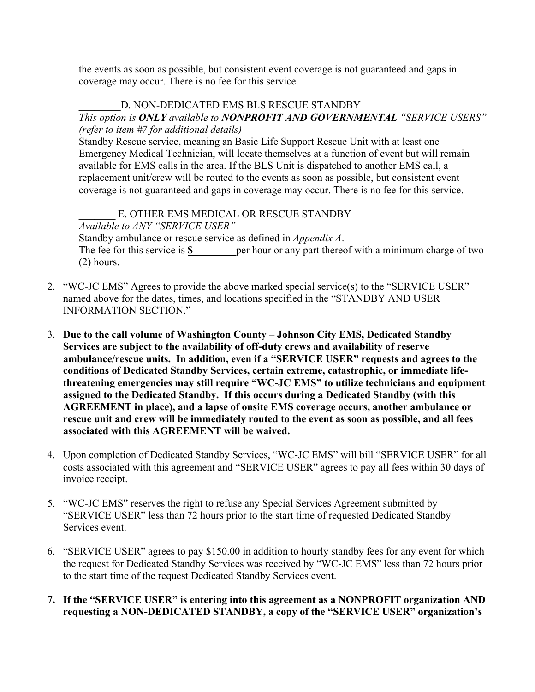the events as soon as possible, but consistent event coverage is not guaranteed and gaps in coverage may occur. There is no fee for this service.

### D. NON-DEDICATED EMS BLS RESCUE STANDBY

### *This option is ONLY available to NONPROFIT AND GOVERNMENTAL "SERVICE USERS" (refer to item #7 for additional details)*

Standby Rescue service, meaning an Basic Life Support Rescue Unit with at least one Emergency Medical Technician, will locate themselves at a function of event but will remain available for EMS calls in the area. If the BLS Unit is dispatched to another EMS call, a replacement unit/crew will be routed to the events as soon as possible, but consistent event coverage is not guaranteed and gaps in coverage may occur. There is no fee for this service.

E. OTHER EMS MEDICAL OR RESCUE STANDBY *Available to ANY "SERVICE USER"*  Standby ambulance or rescue service as defined in *Appendix A*. The fee for this service is **\$** per hour or any part thereof with a minimum charge of two (2) hours.

- 2. "WC-JC EMS" Agrees to provide the above marked special service(s) to the "SERVICE USER" named above for the dates, times, and locations specified in the "STANDBY AND USER INFORMATION SECTION."
- 3. **Due to the call volume of Washington County – Johnson City EMS, Dedicated Standby Services are subject to the availability of off-duty crews and availability of reserve ambulance/rescue units. In addition, even if a "SERVICE USER" requests and agrees to the conditions of Dedicated Standby Services, certain extreme, catastrophic, or immediate lifethreatening emergencies may still require "WC-JC EMS" to utilize technicians and equipment assigned to the Dedicated Standby. If this occurs during a Dedicated Standby (with this AGREEMENT in place), and a lapse of onsite EMS coverage occurs, another ambulance or rescue unit and crew will be immediately routed to the event as soon as possible, and all fees associated with this AGREEMENT will be waived.**
- 4. Upon completion of Dedicated Standby Services, "WC-JC EMS" will bill "SERVICE USER" for all costs associated with this agreement and "SERVICE USER" agrees to pay all fees within 30 days of invoice receipt.
- 5. "WC-JC EMS" reserves the right to refuse any Special Services Agreement submitted by "SERVICE USER" less than 72 hours prior to the start time of requested Dedicated Standby Services event.
- 6. "SERVICE USER" agrees to pay \$150.00 in addition to hourly standby fees for any event for which the request for Dedicated Standby Services was received by "WC-JC EMS" less than 72 hours prior to the start time of the request Dedicated Standby Services event.
- **7. If the "SERVICE USER" is entering into this agreement as a NONPROFIT organization AND requesting a NON-DEDICATED STANDBY, a copy of the "SERVICE USER" organization's**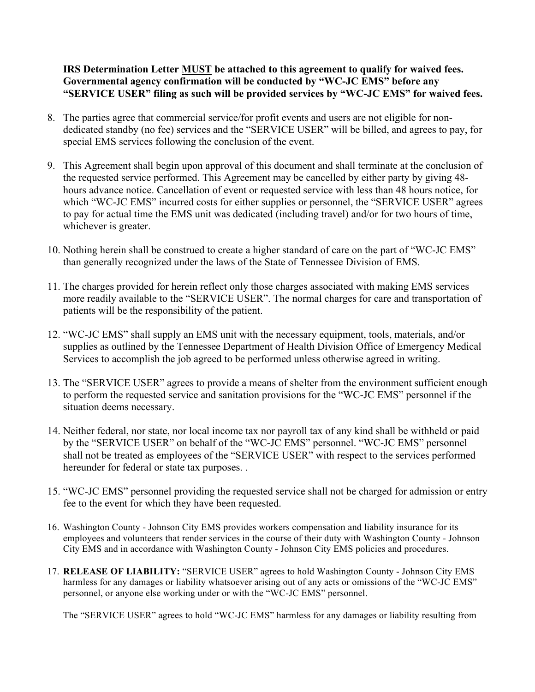**IRS Determination Letter MUST be attached to this agreement to qualify for waived fees. Governmental agency confirmation will be conducted by "WC-JC EMS" before any "SERVICE USER" filing as such will be provided services by "WC-JC EMS" for waived fees.**

- 8. The parties agree that commercial service/for profit events and users are not eligible for nondedicated standby (no fee) services and the "SERVICE USER" will be billed, and agrees to pay, for special EMS services following the conclusion of the event.
- 9. This Agreement shall begin upon approval of this document and shall terminate at the conclusion of the requested service performed. This Agreement may be cancelled by either party by giving 48 hours advance notice. Cancellation of event or requested service with less than 48 hours notice, for which "WC-JC EMS" incurred costs for either supplies or personnel, the "SERVICE USER" agrees to pay for actual time the EMS unit was dedicated (including travel) and/or for two hours of time, whichever is greater.
- 10. Nothing herein shall be construed to create a higher standard of care on the part of "WC-JC EMS" than generally recognized under the laws of the State of Tennessee Division of EMS.
- 11. The charges provided for herein reflect only those charges associated with making EMS services more readily available to the "SERVICE USER". The normal charges for care and transportation of patients will be the responsibility of the patient.
- 12. "WC-JC EMS" shall supply an EMS unit with the necessary equipment, tools, materials, and/or supplies as outlined by the Tennessee Department of Health Division Office of Emergency Medical Services to accomplish the job agreed to be performed unless otherwise agreed in writing.
- 13. The "SERVICE USER" agrees to provide a means of shelter from the environment sufficient enough to perform the requested service and sanitation provisions for the "WC-JC EMS" personnel if the situation deems necessary.
- 14. Neither federal, nor state, nor local income tax nor payroll tax of any kind shall be withheld or paid by the "SERVICE USER" on behalf of the "WC-JC EMS" personnel. "WC-JC EMS" personnel shall not be treated as employees of the "SERVICE USER" with respect to the services performed hereunder for federal or state tax purposes. .
- 15. "WC-JC EMS" personnel providing the requested service shall not be charged for admission or entry fee to the event for which they have been requested.
- 16. Washington County Johnson City EMS provides workers compensation and liability insurance for its employees and volunteers that render services in the course of their duty with Washington County - Johnson City EMS and in accordance with Washington County - Johnson City EMS policies and procedures.
- 17. **RELEASE OF LIABILITY:** "SERVICE USER" agrees to hold Washington County Johnson City EMS harmless for any damages or liability whatsoever arising out of any acts or omissions of the "WC-JC EMS" personnel, or anyone else working under or with the "WC-JC EMS" personnel.

The "SERVICE USER" agrees to hold "WC-JC EMS" harmless for any damages or liability resulting from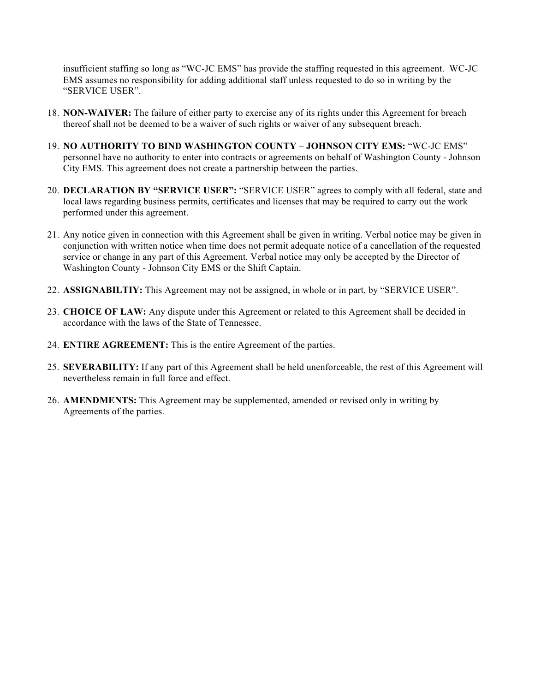insufficient staffing so long as "WC-JC EMS" has provide the staffing requested in this agreement. WC-JC EMS assumes no responsibility for adding additional staff unless requested to do so in writing by the "SERVICE USER".

- 18. **NON-WAIVER:** The failure of either party to exercise any of its rights under this Agreement for breach thereof shall not be deemed to be a waiver of such rights or waiver of any subsequent breach.
- 19. **NO AUTHORITY TO BIND WASHINGTON COUNTY – JOHNSON CITY EMS:** "WC-JC EMS" personnel have no authority to enter into contracts or agreements on behalf of Washington County - Johnson City EMS. This agreement does not create a partnership between the parties.
- 20. **DECLARATION BY "SERVICE USER":** "SERVICE USER" agrees to comply with all federal, state and local laws regarding business permits, certificates and licenses that may be required to carry out the work performed under this agreement.
- 21. Any notice given in connection with this Agreement shall be given in writing. Verbal notice may be given in conjunction with written notice when time does not permit adequate notice of a cancellation of the requested service or change in any part of this Agreement. Verbal notice may only be accepted by the Director of Washington County - Johnson City EMS or the Shift Captain.
- 22. **ASSIGNABILTIY:** This Agreement may not be assigned, in whole or in part, by "SERVICE USER".
- 23. **CHOICE OF LAW:** Any dispute under this Agreement or related to this Agreement shall be decided in accordance with the laws of the State of Tennessee.
- 24. **ENTIRE AGREEMENT:** This is the entire Agreement of the parties.
- 25. **SEVERABILITY:** If any part of this Agreement shall be held unenforceable, the rest of this Agreement will nevertheless remain in full force and effect.
- 26. **AMENDMENTS:** This Agreement may be supplemented, amended or revised only in writing by Agreements of the parties.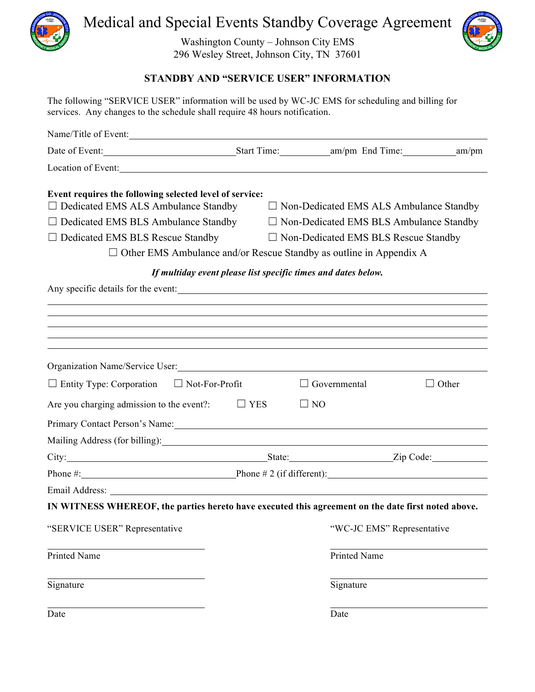

Medical and Special Events Standby Coverage Agreement

Washington County – Johnson City EMS 296 Wesley Street, Johnson City, TN 37601



## **STANDBY AND "SERVICE USER" INFORMATION**

The following "SERVICE USER" information will be used by WC-JC EMS for scheduling and billing for services. Any changes to the schedule shall require 48 hours notification.

| Name/Title of Event:                                                                                                                                                                                                           |                                                               |                                                                           |                                                                                                                                                                                                                                     |  |
|--------------------------------------------------------------------------------------------------------------------------------------------------------------------------------------------------------------------------------|---------------------------------------------------------------|---------------------------------------------------------------------------|-------------------------------------------------------------------------------------------------------------------------------------------------------------------------------------------------------------------------------------|--|
|                                                                                                                                                                                                                                |                                                               |                                                                           |                                                                                                                                                                                                                                     |  |
| Location of Event:                                                                                                                                                                                                             |                                                               |                                                                           |                                                                                                                                                                                                                                     |  |
| Event requires the following selected level of service:<br>$\Box$ Dedicated EMS ALS Ambulance Standby                                                                                                                          |                                                               | $\Box$ Non-Dedicated EMS ALS Ambulance Standby                            |                                                                                                                                                                                                                                     |  |
| $\Box$ Dedicated EMS BLS Ambulance Standby                                                                                                                                                                                     | $\Box$ Non-Dedicated EMS BLS Ambulance Standby                |                                                                           |                                                                                                                                                                                                                                     |  |
| $\Box$ Dedicated EMS BLS Rescue Standby                                                                                                                                                                                        | $\Box$ Non-Dedicated EMS BLS Rescue Standby                   |                                                                           |                                                                                                                                                                                                                                     |  |
|                                                                                                                                                                                                                                |                                                               | $\Box$ Other EMS Ambulance and/or Rescue Standby as outline in Appendix A |                                                                                                                                                                                                                                     |  |
|                                                                                                                                                                                                                                | If multiday event please list specific times and dates below. |                                                                           |                                                                                                                                                                                                                                     |  |
|                                                                                                                                                                                                                                |                                                               |                                                                           |                                                                                                                                                                                                                                     |  |
|                                                                                                                                                                                                                                |                                                               |                                                                           |                                                                                                                                                                                                                                     |  |
|                                                                                                                                                                                                                                |                                                               |                                                                           |                                                                                                                                                                                                                                     |  |
|                                                                                                                                                                                                                                |                                                               |                                                                           |                                                                                                                                                                                                                                     |  |
| Organization Name/Service User: 1988 Manual According to the Manual According of the Manual According to the Manual According to the Manual According to the Manual According to the Manual According to the Manual According  |                                                               |                                                                           |                                                                                                                                                                                                                                     |  |
| $\Box$ Entity Type: Corporation $\Box$ Not-For-Profit                                                                                                                                                                          |                                                               | $\Box$ Governmental                                                       | $\Box$ Other                                                                                                                                                                                                                        |  |
| Are you charging admission to the event?:                                                                                                                                                                                      | $\Box$ YES                                                    | $\Box$ NO                                                                 |                                                                                                                                                                                                                                     |  |
| Primary Contact Person's Name: 1988 and 1989 and 1989 and 1989 and 1989 and 1989 and 1989 and 1989 and 1989 and 1989 and 1989 and 1989 and 1989 and 1989 and 1989 and 1989 and 1989 and 1989 and 1989 and 1989 and 1989 and 19 |                                                               |                                                                           |                                                                                                                                                                                                                                     |  |
| Mailing Address (for billing): 1999.                                                                                                                                                                                           |                                                               |                                                                           |                                                                                                                                                                                                                                     |  |
|                                                                                                                                                                                                                                |                                                               |                                                                           | City: <u>City:</u> City: City: City: City: City: City: City: City: City: City: City: City: City: City: City: City: City: City: City: City: City: City: City: City: City: City: City: City: City: City: City: City: City: City: City |  |
| Phone $\#$ : Phone $\#$ 2 (if different):                                                                                                                                                                                      |                                                               |                                                                           |                                                                                                                                                                                                                                     |  |
|                                                                                                                                                                                                                                |                                                               |                                                                           |                                                                                                                                                                                                                                     |  |
| IN WITNESS WHEREOF, the parties hereto have executed this agreement on the date first noted above.                                                                                                                             |                                                               |                                                                           |                                                                                                                                                                                                                                     |  |
| "SERVICE USER" Representative                                                                                                                                                                                                  |                                                               | "WC-JC EMS" Representative                                                |                                                                                                                                                                                                                                     |  |
| Printed Name                                                                                                                                                                                                                   |                                                               | Printed Name                                                              |                                                                                                                                                                                                                                     |  |
| Signature                                                                                                                                                                                                                      |                                                               | Signature                                                                 |                                                                                                                                                                                                                                     |  |
| Date                                                                                                                                                                                                                           |                                                               | Date                                                                      |                                                                                                                                                                                                                                     |  |